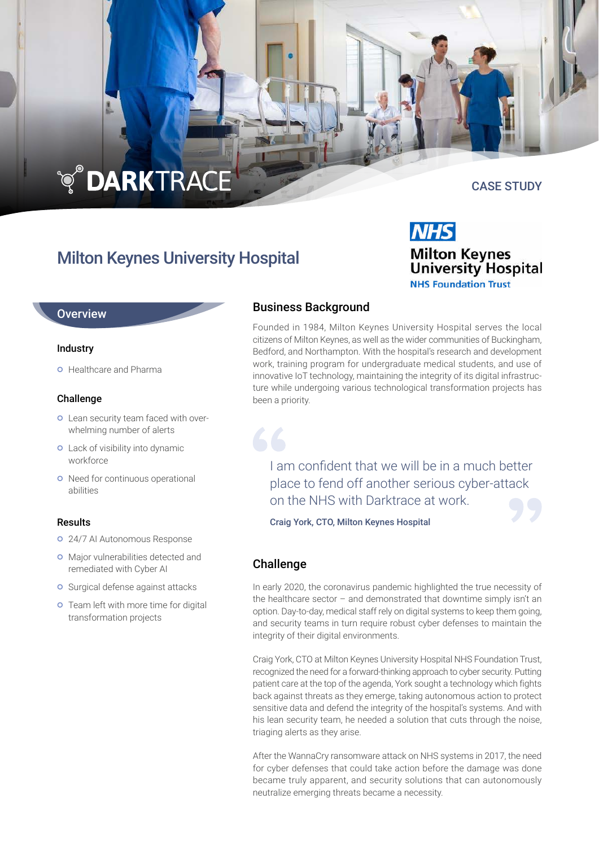# **TO DARKTRACE**

# Milton Keynes University Hospital

### **Overview**

#### Industry

**o** Healthcare and Pharma

#### Challenge

- Lean security team faced with overwhelming number of alerts
- Lack of visibility into dynamic workforce
- o Need for continuous operational abilities

#### Results

- 24/7 AI Autonomous Response
- Major vulnerabilities detected and remediated with Cyber AI
- Surgical defense against attacks
- **o** Team left with more time for digital transformation projects

# Business Background

Founded in 1984, Milton Keynes University Hospital serves the local citizens of Milton Keynes, as well as the wider communities of Buckingham, Bedford, and Northampton. With the hospital's research and development work, training program for undergraduate medical students, and use of innovative IoT technology, maintaining the integrity of its digital infrastructure while undergoing various technological transformation projects has been a priority.

I am confident that we will be in a much better place to fend off another serious cyber-attack on the NHS with Darktrace at work.

Craig York, CTO, Milton Keynes Hospital

# Challenge

In early 2020, the coronavirus pandemic highlighted the true necessity of the healthcare sector – and demonstrated that downtime simply isn't an option. Day-to-day, medical staff rely on digital systems to keep them going, and security teams in turn require robust cyber defenses to maintain the integrity of their digital environments.

Craig York, CTO at Milton Keynes University Hospital NHS Foundation Trust, recognized the need for a forward-thinking approach to cyber security. Putting patient care at the top of the agenda, York sought a technology which fights back against threats as they emerge, taking autonomous action to protect sensitive data and defend the integrity of the hospital's systems. And with his lean security team, he needed a solution that cuts through the noise, triaging alerts as they arise.

After the WannaCry ransomware attack on NHS systems in 2017, the need for cyber defenses that could take action before the damage was done became truly apparent, and security solutions that can autonomously neutralize emerging threats became a necessity.



# CASE STUDY